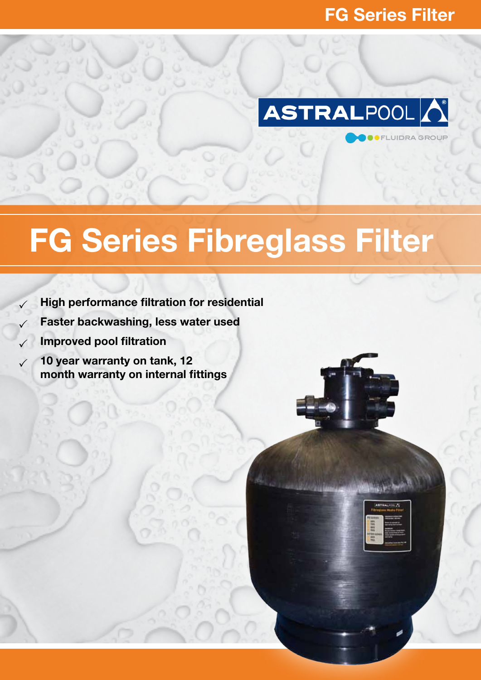**UIDRA GROUI** 



# FG Series Fibreglass Filter

- $\angle$  High performance filtration for residential
	- Faster backwashing, less water used
- $\sqrt{ }$  Improved pool filtration
- 10 year warranty on tank, 12 month warranty on internal fittings